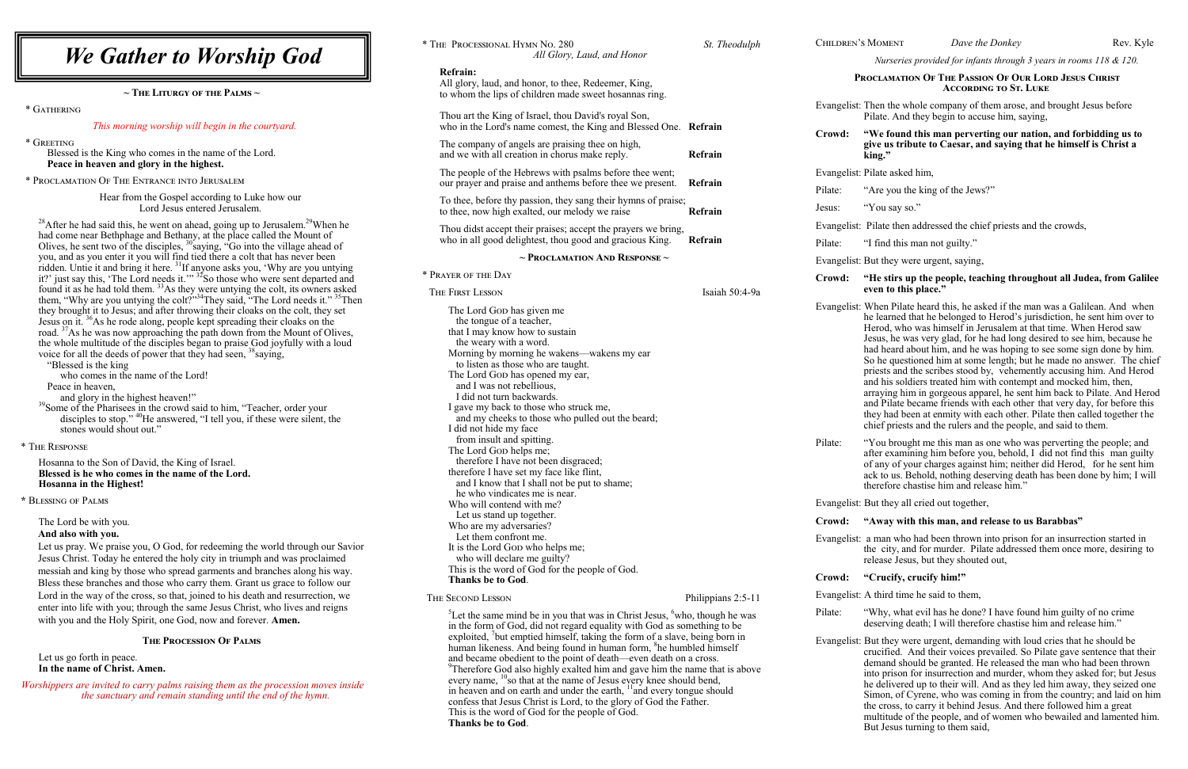| <b>We Gather to Worship God</b>                                                                                                                                                                                                                                                                                                                                                                                                                                                                                                                                                                                                                                                                                                                                     | * THE PROCESSIONAL HYMN NO. 280<br>All Glory, Laud,                                                                                                                                                                                                                                                                                                                                             |  |  |
|---------------------------------------------------------------------------------------------------------------------------------------------------------------------------------------------------------------------------------------------------------------------------------------------------------------------------------------------------------------------------------------------------------------------------------------------------------------------------------------------------------------------------------------------------------------------------------------------------------------------------------------------------------------------------------------------------------------------------------------------------------------------|-------------------------------------------------------------------------------------------------------------------------------------------------------------------------------------------------------------------------------------------------------------------------------------------------------------------------------------------------------------------------------------------------|--|--|
| $\sim$ The Liturgy of the Palms $\sim$                                                                                                                                                                                                                                                                                                                                                                                                                                                                                                                                                                                                                                                                                                                              | <b>Refrain:</b><br>All glory, laud, and honor, to thee, Rede<br>to whom the lips of children made swee                                                                                                                                                                                                                                                                                          |  |  |
| * GATHERING                                                                                                                                                                                                                                                                                                                                                                                                                                                                                                                                                                                                                                                                                                                                                         | Thou art the King of Israel, thou David's                                                                                                                                                                                                                                                                                                                                                       |  |  |
| This morning worship will begin in the courtyard.                                                                                                                                                                                                                                                                                                                                                                                                                                                                                                                                                                                                                                                                                                                   | who in the Lord's name comest, the Kin                                                                                                                                                                                                                                                                                                                                                          |  |  |
| * GREETING<br>Blessed is the King who comes in the name of the Lord.<br>Peace in heaven and glory in the highest.                                                                                                                                                                                                                                                                                                                                                                                                                                                                                                                                                                                                                                                   | The company of angels are praising theen<br>and we with all creation in chorus make                                                                                                                                                                                                                                                                                                             |  |  |
| * PROCLAMATION OF THE ENTRANCE INTO JERUSALEM                                                                                                                                                                                                                                                                                                                                                                                                                                                                                                                                                                                                                                                                                                                       | The people of the Hebrews with psalms<br>our prayer and praise and anthems befor                                                                                                                                                                                                                                                                                                                |  |  |
| Hear from the Gospel according to Luke how our<br>Lord Jesus entered Jerusalem.                                                                                                                                                                                                                                                                                                                                                                                                                                                                                                                                                                                                                                                                                     | To thee, before thy passion, they sang the<br>to thee, now high exalted, our melody w                                                                                                                                                                                                                                                                                                           |  |  |
| <sup>28</sup> After he had said this, he went on ahead, going up to Jerusalem. <sup>29</sup> When he<br>had come near Bethphage and Bethany, at the place called the Mount of Olives, he sent two of the disciples, <sup>30</sup> saying, "Go into the village ahead of                                                                                                                                                                                                                                                                                                                                                                                                                                                                                             | Thou didst accept their praises; accept t<br>who in all good delightest, thou good ar                                                                                                                                                                                                                                                                                                           |  |  |
| you, and as you enter it you will find tied there a colt that has never been                                                                                                                                                                                                                                                                                                                                                                                                                                                                                                                                                                                                                                                                                        | $\sim$ Proclamation A                                                                                                                                                                                                                                                                                                                                                                           |  |  |
| ridden. Untie it and bring it here. <sup>31</sup> If anyone asks you, 'Why are you untying it?' just say this, 'The Lord needs it.'' <sup>32</sup> So those who were sent departed and                                                                                                                                                                                                                                                                                                                                                                                                                                                                                                                                                                              | * PRAYER OF THE DAY                                                                                                                                                                                                                                                                                                                                                                             |  |  |
| found it as he had told them. $33$ As they were untying the colt, its owners asked<br>them, "Why are you untying the colt?" <sup>34</sup> They said, "The Lord needs it." <sup>35</sup> Then                                                                                                                                                                                                                                                                                                                                                                                                                                                                                                                                                                        | THE FIRST LESSON                                                                                                                                                                                                                                                                                                                                                                                |  |  |
| they brought it to Jesus; and after throwing their cloaks on the colt, they set<br>Jesus on it. <sup>36</sup> As he rode along, people kept spreading their cloaks on the<br>road. <sup>37</sup> As he was now approaching the path down from the Mount of Olives,<br>the whole multitude of the disciples began to praise God joyfully with a loud<br>voice for all the deeds of power that they had seen, <sup>38</sup> saying,<br>"Blessed is the king<br>who comes in the name of the Lord!<br>Peace in heaven,<br>and glory in the highest heaven!"<br><sup>39</sup> Some of the Pharisees in the crowd said to him, "Teacher, order your<br>disciples to stop." <sup>40</sup> He answered, "I tell you, if these were silent, the<br>stones would shout out." | The Lord Gop has given me<br>the tongue of a teacher,<br>that I may know how to sustain<br>the weary with a word.<br>Morning by morning he wakens—wal<br>to listen as those who are taught.<br>The Lord Gop has opened my ear,<br>and I was not rebellious,<br>I did not turn backwards.<br>I gave my back to those who struck m<br>and my cheeks to those who pulled<br>I did not hide my face |  |  |
| * THE RESPONSE                                                                                                                                                                                                                                                                                                                                                                                                                                                                                                                                                                                                                                                                                                                                                      | from insult and spitting.<br>The Lord Gop helps me;                                                                                                                                                                                                                                                                                                                                             |  |  |
| Hosanna to the Son of David, the King of Israel.<br>Blessed is he who comes in the name of the Lord.<br>Hosanna in the Highest!                                                                                                                                                                                                                                                                                                                                                                                                                                                                                                                                                                                                                                     | therefore I have not been disgraced;<br>therefore I have set my face like flint,<br>and I know that I shall not be put to<br>he who vindicates me is near.                                                                                                                                                                                                                                      |  |  |
| * BLESSING OF PALMS                                                                                                                                                                                                                                                                                                                                                                                                                                                                                                                                                                                                                                                                                                                                                 | Who will contend with me?<br>Let us stand up together.                                                                                                                                                                                                                                                                                                                                          |  |  |
| The Lord be with you.<br>And also with you.<br>Let us pray. We praise you, O God, for redeeming the world through our Savior<br>Jesus Christ. Today he entered the holy city in triumph and was proclaimed<br>messiah and king by those who spread garments and branches along his way.<br>Bless these branches and those who carry them. Grant us grace to follow our                                                                                                                                                                                                                                                                                                                                                                                              | Who are my adversaries?<br>Let them confront me.<br>It is the Lord Gop who helps me;<br>who will declare me guilty?<br>This is the word of God for the people<br>Thanks be to God.                                                                                                                                                                                                              |  |  |
| Lord in the way of the cross, so that, joined to his death and resurrection, we                                                                                                                                                                                                                                                                                                                                                                                                                                                                                                                                                                                                                                                                                     | THE SECOND LESSON                                                                                                                                                                                                                                                                                                                                                                               |  |  |
| enter into life with you; through the same Jesus Christ, who lives and reigns<br>with you and the Holy Spirit, one God, now and forever. Amen.                                                                                                                                                                                                                                                                                                                                                                                                                                                                                                                                                                                                                      | <sup>3</sup> Let the same mind be in you that was<br>in the form of God, did not regard equ                                                                                                                                                                                                                                                                                                     |  |  |
| <b>THE PROCESSION OF PALMS</b>                                                                                                                                                                                                                                                                                                                                                                                                                                                                                                                                                                                                                                                                                                                                      | exploited, <sup>7</sup> but emptied himself, takin<br>human likeness. And being found in h                                                                                                                                                                                                                                                                                                      |  |  |
| Let us go forth in peace.<br>In the name of Christ. Amen.                                                                                                                                                                                                                                                                                                                                                                                                                                                                                                                                                                                                                                                                                                           | and became obedient to the point of d<br><sup>9</sup> Therefore God also highly exalted hi                                                                                                                                                                                                                                                                                                      |  |  |
| Worshippers are invited to carry palms raising them as the procession moves inside<br>the sanctuary and remain standing until the end of the hymn.                                                                                                                                                                                                                                                                                                                                                                                                                                                                                                                                                                                                                  | every name, $^{10}$ so that at the name of J<br>in heaven and on earth and under the<br>confess that Jesus Christ is Lord, to the<br>This is the word of God for the people<br><b>Thanks be to God.</b>                                                                                                                                                                                         |  |  |

## **Example 1** in sup the people, teaching throughout all Judea, from Galilee **even to this place."**

Pilate heard this, he asked if the man was a Galilean. And when med that he belonged to Herod's jurisdiction, he sent him over to who was himself in Jerusalem at that time. When Herod saw he was very glad, for he had long desired to see him, because he ard about him, and he was hoping to see some sign done by him. questioned him at some length; but he made no answer. The chief and the scribes stood by, vehemently accusing him. And Herod soldiers treated him with contempt and mocked him, then, ag him in gorgeous apparel, he sent him back to Pilate. And Herod late became friends with each other that very day, for before this ad been at enmity with each other. Pilate then called together the priests and the rulers and the people, and said to them.

brought me this man as one who was perverting the people; and xamining him before you, behold, I did not find this man guilty of your charges against him; neither did Herod, for he sent him us. Behold, nothing deserving death has been done by him; I will ore chastise him and release him."

ey all cried out together,

| * THE PROCESSIONAL HYMN NO. 280                                                                                                                                                                                                                                                                                                                                                                                                                                                                                                                                                                                                              | St. Theodulph      | <b>CHILDREN'S MOME</b> |                                                                                                                      |
|----------------------------------------------------------------------------------------------------------------------------------------------------------------------------------------------------------------------------------------------------------------------------------------------------------------------------------------------------------------------------------------------------------------------------------------------------------------------------------------------------------------------------------------------------------------------------------------------------------------------------------------------|--------------------|------------------------|----------------------------------------------------------------------------------------------------------------------|
| All Glory, Laud, and Honor                                                                                                                                                                                                                                                                                                                                                                                                                                                                                                                                                                                                                   |                    |                        | <b>Nurs</b>                                                                                                          |
| <b>Refrain:</b><br>All glory, laud, and honor, to thee, Redeemer, King,<br>to whom the lips of children made sweet hosannas ring.                                                                                                                                                                                                                                                                                                                                                                                                                                                                                                            |                    |                        | <b>PROCLAM</b>                                                                                                       |
| Thou art the King of Israel, thou David's royal Son,<br>who in the Lord's name comest, the King and Blessed One. Refrain                                                                                                                                                                                                                                                                                                                                                                                                                                                                                                                     |                    | Evangelist: Then tl    | Pilate.                                                                                                              |
| The company of angels are praising thee on high,<br>and we with all creation in chorus make reply.                                                                                                                                                                                                                                                                                                                                                                                                                                                                                                                                           | Refrain            | Crowd:                 | "We fo<br>give us<br>king."                                                                                          |
| The people of the Hebrews with psalms before thee went;                                                                                                                                                                                                                                                                                                                                                                                                                                                                                                                                                                                      |                    | Evangelist: Pilate a   |                                                                                                                      |
| our prayer and praise and anthems before thee we present.                                                                                                                                                                                                                                                                                                                                                                                                                                                                                                                                                                                    | Refrain            | Pilate:                | "Are y                                                                                                               |
| To thee, before thy passion, they sang their hymns of praise;<br>to thee, now high exalted, our melody we raise                                                                                                                                                                                                                                                                                                                                                                                                                                                                                                                              | Refrain            | Jesus:                 | "You s                                                                                                               |
| Thou didst accept their praises; accept the prayers we bring,                                                                                                                                                                                                                                                                                                                                                                                                                                                                                                                                                                                |                    | Evangelist: Pilate     |                                                                                                                      |
| who in all good delightest, thou good and gracious King.                                                                                                                                                                                                                                                                                                                                                                                                                                                                                                                                                                                     | Refrain            | Pilate:                | "I find                                                                                                              |
| $\sim$ Proclamation And Response $\sim$                                                                                                                                                                                                                                                                                                                                                                                                                                                                                                                                                                                                      |                    | Evangelist: But the    |                                                                                                                      |
| * PRAYER OF THE DAY                                                                                                                                                                                                                                                                                                                                                                                                                                                                                                                                                                                                                          |                    | Crowd:                 | "He st                                                                                                               |
| <b>THE FIRST LESSON</b>                                                                                                                                                                                                                                                                                                                                                                                                                                                                                                                                                                                                                      | Isaiah 50:4-9a     |                        | even to                                                                                                              |
| The Lord Gop has given me<br>the tongue of a teacher,<br>that I may know how to sustain<br>the weary with a word.<br>Morning by morning he wakens—wakens my ear<br>to listen as those who are taught.<br>The Lord Gop has opened my ear,<br>and I was not rebellious,<br>I did not turn backwards.<br>I gave my back to those who struck me,<br>and my cheeks to those who pulled out the beard;<br>I did not hide my face                                                                                                                                                                                                                   |                    | Evangelist: When I     | he lear<br>Herod,<br>Jesus, l<br>had he<br>So he o<br>priests<br>and his<br>arrayin<br>and Pil<br>they ha<br>chief p |
| from insult and spitting.<br>The Lord Gop helps me;<br>therefore I have not been disgraced;<br>therefore I have set my face like flint,<br>and I know that I shall not be put to shame;<br>he who vindicates me is near.                                                                                                                                                                                                                                                                                                                                                                                                                     |                    | Pilate:                | "You b<br>after ex<br>of any<br>ack to<br>therefo                                                                    |
| Who will contend with me?<br>Let us stand up together.                                                                                                                                                                                                                                                                                                                                                                                                                                                                                                                                                                                       |                    | Evangelist: But the    |                                                                                                                      |
| Who are my adversaries?                                                                                                                                                                                                                                                                                                                                                                                                                                                                                                                                                                                                                      |                    | Crowd:                 | "Away                                                                                                                |
| Let them confront me.<br>It is the Lord GoD who helps me;<br>who will declare me guilty?                                                                                                                                                                                                                                                                                                                                                                                                                                                                                                                                                     |                    | Evangelist: a man      | the cit<br>release                                                                                                   |
| This is the word of God for the people of God.<br>Thanks be to God.                                                                                                                                                                                                                                                                                                                                                                                                                                                                                                                                                                          |                    | Crowd:                 | "Cruc                                                                                                                |
| THE SECOND LESSON                                                                                                                                                                                                                                                                                                                                                                                                                                                                                                                                                                                                                            | Philippians 2:5-11 | Evangelist: A third    |                                                                                                                      |
| <sup>3</sup> Let the same mind be in you that was in Christ Jesus, <sup>6</sup> who, though he was<br>in the form of God, did not regard equality with God as something to be                                                                                                                                                                                                                                                                                                                                                                                                                                                                |                    | Pilate:                | "Why,<br>deservi                                                                                                     |
| exploited, but emptied himself, taking the form of a slave, being born in<br>human likeness. And being found in human form, <sup>8</sup> he humbled himself<br>and became obedient to the point of death—even death on a cross.<br><sup>9</sup> Therefore God also highly exalted him and gave him the name that is above<br>every name, <sup>10</sup> so that at the name of Jesus every knee should bend,<br>in heaven and on earth and under the earth, <sup>11</sup> and every tongue should<br>confess that Jesus Christ is Lord, to the glory of God the Father.<br>This is the word of God for the people of God.<br>Thanks he to Cod |                    | Evangelist: But the    | crucifi<br>deman<br>into pri<br>he deli<br>Simon.<br>the cro<br>multitu                                              |

CHILDREN'S MOMENT *Dave the Donkey* Rev. Kyle

ey were urgent, demanding with loud cries that he should be ed. And their voices prevailed. So Pilate gave sentence that their d should be granted. He released the man who had been thrown ison for insurrection and murder, whom they asked for; but Jesus ivered up to their will. And as they led him away, they seized one of Cyrene, who was coming in from the country; and laid on him bss, to carry it behind Jesus. And there followed him a great ude of the people, and of women who bewailed and lamented him. But Jesus turning to them said,

*Nurseries provided for infants through 3 years in rooms 118 & 120.*

## **Proclamation Of The Passion Of Our Lord Jesus Christ According to St. Luke**

he whole company of them arose, and brought Jesus before And they begin to accuse him, saying,

## **Crowd: "We found this man perverting our nation, and forbidding us to give us tribute to Caesar, and saying that he himself is Christ a**

asked him,

ou the king of the Jews?"

say so."

then addressed the chief priests and the crowds,

I this man not guilty."

ey were urgent, saying,

### **Crowd: "Away with this man, and release to us Barabbas"**

I who had been thrown into prison for an insurrection started in ty, and for murder. Pilate addressed them once more, desiring to Jesus, but they shouted out,

## **Crowd: "Crucify, crucify him!"**

I time he said to them.

what evil has he done? I have found him guilty of no crime ing death; I will therefore chastise him and release him."